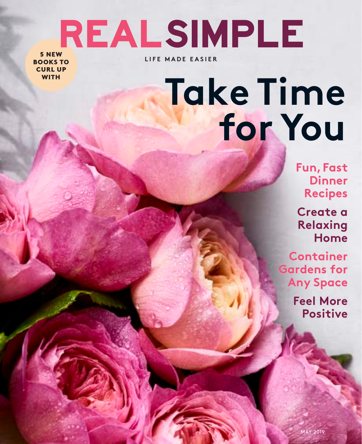# realsimple

5 NEW BOOKS TO CURL UP **WITH** 

**LIFE MADE EASIER**

## **Take Time for You**

**Fun, Fast Dinner Recipes**

**Create a Relaxing Home**

**Container Gardens for Any Space**

> **Feel More Positive**